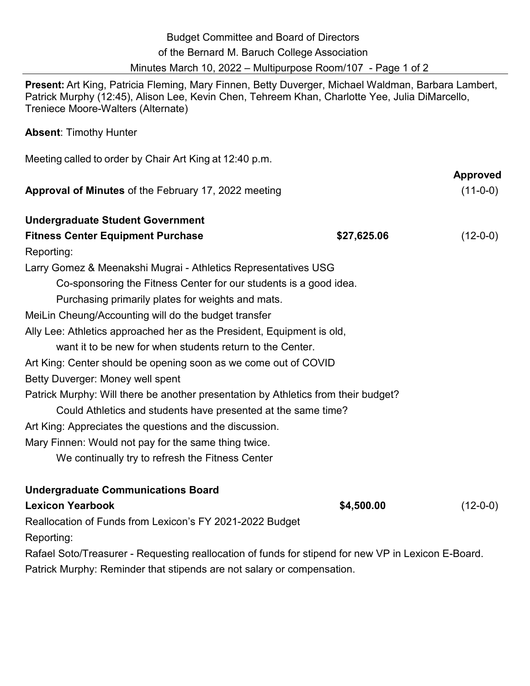| <b>Budget Committee and Board of Directors</b>               |  |
|--------------------------------------------------------------|--|
| of the Bernard M. Baruch College Association                 |  |
| Minutes March 10, 2022 – Multipurpose Room/107 - Page 1 of 2 |  |

**Present:** Art King, Patricia Fleming, Mary Finnen, Betty Duverger, Michael Waldman, Barbara Lambert, Patrick Murphy (12:45), Alison Lee, Kevin Chen, Tehreem Khan, Charlotte Yee, Julia DiMarcello, Treniece Moore-Walters (Alternate)

## **Absent**: Timothy Hunter

| Meeting called to order by Chair Art King at 12:40 p.m.                            |             |                 |
|------------------------------------------------------------------------------------|-------------|-----------------|
|                                                                                    |             | <b>Approved</b> |
| Approval of Minutes of the February 17, 2022 meeting                               |             | $(11-0-0)$      |
| <b>Undergraduate Student Government</b>                                            |             |                 |
| <b>Fitness Center Equipment Purchase</b>                                           | \$27,625.06 | $(12-0-0)$      |
| Reporting:                                                                         |             |                 |
| Larry Gomez & Meenakshi Mugrai - Athletics Representatives USG                     |             |                 |
| Co-sponsoring the Fitness Center for our students is a good idea.                  |             |                 |
| Purchasing primarily plates for weights and mats.                                  |             |                 |
| MeiLin Cheung/Accounting will do the budget transfer                               |             |                 |
| Ally Lee: Athletics approached her as the President, Equipment is old,             |             |                 |
| want it to be new for when students return to the Center.                          |             |                 |
| Art King: Center should be opening soon as we come out of COVID                    |             |                 |
| Betty Duverger: Money well spent                                                   |             |                 |
| Patrick Murphy: Will there be another presentation by Athletics from their budget? |             |                 |
| Could Athletics and students have presented at the same time?                      |             |                 |
| Art King: Appreciates the questions and the discussion.                            |             |                 |
| Mary Finnen: Would not pay for the same thing twice.                               |             |                 |
| We continually try to refresh the Fitness Center                                   |             |                 |
| <b>Undergraduate Communications Board</b>                                          |             |                 |
| <b>Lexicon Yearbook</b>                                                            | \$4,500.00  | $(12-0-0)$      |
| Reallocation of Funds from Lexicon's FY 2021-2022 Budget                           |             |                 |

Reporting:

Rafael Soto/Treasurer - Requesting reallocation of funds for stipend for new VP in Lexicon E-Board. Patrick Murphy: Reminder that stipends are not salary or compensation.